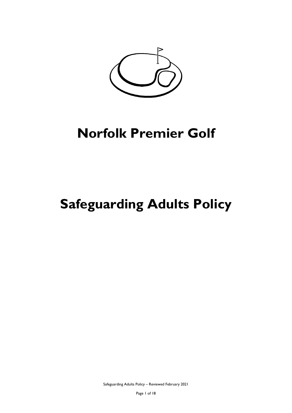

# **Safeguarding Adults Policy**

Safeguarding Adults Policy – Reviewed February 2021

Page 1 of 18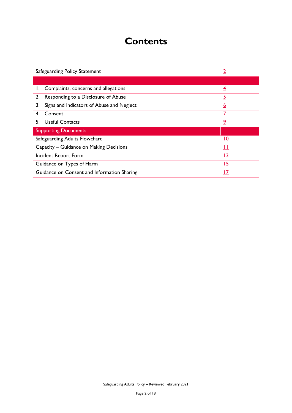# **Contents**

| Safeguarding Policy Statement                             | <u>2</u>       |
|-----------------------------------------------------------|----------------|
|                                                           |                |
| 1. Complaints, concerns and allegations                   | $\overline{4}$ |
| Responding to a Disclosure of Abuse<br>2.                 | <u>5</u>       |
| 3.<br>Signs and Indicators of Abuse and Neglect           | <u>6</u>       |
| Consent<br>4.                                             | <u>7</u>       |
| 5. Useful Contacts                                        | <u>9</u>       |
| <b>Supporting Documents</b>                               |                |
| Safeguarding Adults Flowchart                             | <u> 10</u>     |
| Capacity – Guidance on Making Decisions                   |                |
| Incident Report Form<br><u>13</u>                         |                |
| Guidance on Types of Harm<br><u>15</u>                    |                |
| Guidance on Consent and Information Sharing<br><u> 17</u> |                |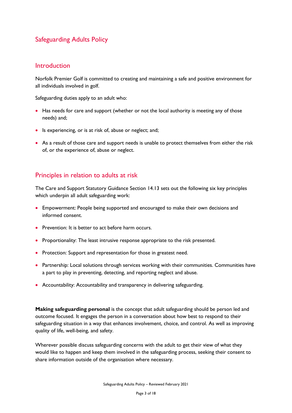# Safeguarding Adults Policy

## <span id="page-2-0"></span>**Introduction**

Norfolk Premier Golf is committed to creating and maintaining a safe and positive environment for all individuals involved in golf.

Safeguarding duties apply to an adult who:

- Has needs for care and support (whether or not the local authority is meeting any of those needs) and;
- Is experiencing, or is at risk of, abuse or neglect; and;
- As a result of those care and support needs is unable to protect themselves from either the risk of, or the experience of, abuse or neglect.

# Principles in relation to adults at risk

The Care and Support Statutory Guidance Section 14.13 sets out the following six key principles which underpin all adult safeguarding work:

- Empowerment: People being supported and encouraged to make their own decisions and informed consent.
- Prevention: It is better to act before harm occurs.
- Proportionality: The least intrusive response appropriate to the risk presented.
- Protection: Support and representation for those in greatest need.
- Partnership: Local solutions through services working with their communities. Communities have a part to play in preventing, detecting, and reporting neglect and abuse.
- Accountability: Accountability and transparency in delivering safeguarding.

**Making safeguarding personal** is the concept that adult safeguarding should be person led and outcome focused. It engages the person in a conversation about how best to respond to their safeguarding situation in a way that enhances involvement, choice, and control. As well as improving quality of life, well-being, and safety.

Wherever possible discuss safeguarding concerns with the adult to get their view of what they would like to happen and keep them involved in the safeguarding process, seeking their consent to share information outside of the organisation where necessary.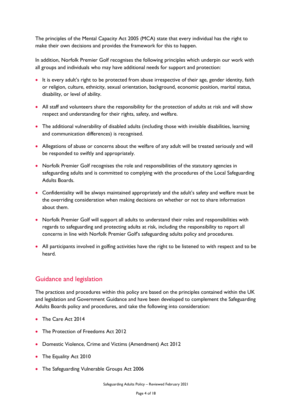The principles of the Mental Capacity Act 2005 (MCA) state that every individual has the right to make their own decisions and provides the framework for this to happen.

In addition, Norfolk Premier Golf recognises the following principles which underpin our work with all groups and individuals who may have additional needs for support and protection:

- It is every adult's right to be protected from abuse irrespective of their age, gender identity, faith or religion, culture, ethnicity, sexual orientation, background, economic position, marital status, disability, or level of ability.
- All staff and volunteers share the responsibility for the protection of adults at risk and will show respect and understanding for their rights, safety, and welfare.
- The additional vulnerability of disabled adults (including those with invisible disabilities, learning and communication differences) is recognised.
- Allegations of abuse or concerns about the welfare of any adult will be treated seriously and will be responded to swiftly and appropriately.
- Norfolk Premier Golf recognises the role and responsibilities of the statutory agencies in safeguarding adults and is committed to complying with the procedures of the Local Safeguarding Adults Boards.
- Confidentiality will be always maintained appropriately and the adult's safety and welfare must be the overriding consideration when making decisions on whether or not to share information about them.
- Norfolk Premier Golf will support all adults to understand their roles and responsibilities with regards to safeguarding and protecting adults at risk, including the responsibility to report all concerns in line with Norfolk Premier Golf's safeguarding adults policy and procedures.
- All participants involved in golfing activities have the right to be listened to with respect and to be heard.

# Guidance and legislation

The practices and procedures within this policy are based on the principles contained within the UK and legislation and Government Guidance and have been developed to complement the Safeguarding Adults Boards policy and procedures, and take the following into consideration:

- The Care Act 2014
- The Protection of Freedoms Act 2012
- Domestic Violence, Crime and Victims (Amendment) Act 2012
- The Equality Act 2010
- The Safeguarding Vulnerable Groups Act 2006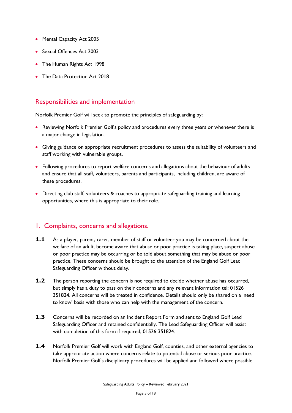- Mental Capacity Act 2005
- Sexual Offences Act 2003
- The Human Rights Act 1998
- The Data Protection Act 2018

## Responsibilities and implementation

Norfolk Premier Golf will seek to promote the principles of safeguarding by:

- Reviewing Norfolk Premier Golf's policy and procedures every three years or whenever there is a major change in legislation.
- Giving guidance on appropriate recruitment procedures to assess the suitability of volunteers and staff working with vulnerable groups.
- Following procedures to report welfare concerns and allegations about the behaviour of adults and ensure that all staff, volunteers, parents and participants, including children, are aware of these procedures.
- Directing club staff, volunteers & coaches to appropriate safeguarding training and learning opportunities, where this is appropriate to their role.

## <span id="page-4-0"></span>1. Complaints, concerns and allegations.

- **1.1** As a player, parent, carer, member of staff or volunteer you may be concerned about the welfare of an adult, become aware that abuse or poor practice is taking place, suspect abuse or poor practice may be occurring or be told about something that may be abuse or poor practice. These concerns should be brought to the attention of the England Golf Lead Safeguarding Officer without delay.
- **1.2** The person reporting the concern is not required to decide whether abuse has occurred, but simply has a duty to pass on their concerns and any relevant information tel: 01526 351824. All concerns will be treated in confidence. Details should only be shared on a 'need to know' basis with those who can help with the management of the concern.
- **1.3** Concerns will be recorded on an Incident Report Form and sent to England Golf Lead Safeguarding Officer and retained confidentially. The Lead Safeguarding Officer will assist with completion of this form if required, 01526 351824.
- **1.4** Norfolk Premier Golf will work with England Golf, counties, and other external agencies to take appropriate action where concerns relate to potential abuse or serious poor practice. Norfolk Premier Golf's disciplinary procedures will be applied and followed where possible.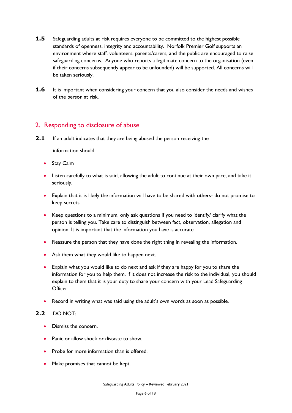- **1.5** Safeguarding adults at risk requires everyone to be committed to the highest possible standards of openness, integrity and accountability. Norfolk Premier Golf supports an environment where staff, volunteers, parents/carers, and the public are encouraged to raise safeguarding concerns. Anyone who reports a legitimate concern to the organisation (even if their concerns subsequently appear to be unfounded) will be supported. All concerns will be taken seriously.
- **1.6** It is important when considering your concern that you also consider the needs and wishes of the person at risk.

# <span id="page-5-0"></span>2. Responding to disclosure of abuse

**2.1** If an adult indicates that they are being abused the person receiving the

information should:

- Stay Calm
- Listen carefully to what is said, allowing the adult to continue at their own pace, and take it seriously.
- Explain that it is likely the information will have to be shared with others- do not promise to keep secrets.
- Keep questions to a minimum, only ask questions if you need to identify/ clarify what the person is telling you. Take care to distinguish between fact, observation, allegation and opinion. It is important that the information you have is accurate.
- Reassure the person that they have done the right thing in revealing the information.
- Ask them what they would like to happen next.
- Explain what you would like to do next and ask if they are happy for you to share the information for you to help them. If it does not increase the risk to the individual, you should explain to them that it is your duty to share your concern with your Lead Safeguarding Officer.
- Record in writing what was said using the adult's own words as soon as possible.

#### **2.2** DO NOT:

- Dismiss the concern.
- Panic or allow shock or distaste to show.
- Probe for more information than is offered.
- Make promises that cannot be kept.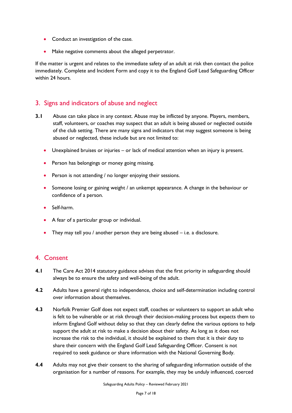- Conduct an investigation of the case.
- Make negative comments about the alleged perpetrator.

If the matter is urgent and relates to the immediate safety of an adult at risk then contact the police immediately. Complete and Incident Form and copy it to the England Golf Lead Safeguarding Officer within 24 hours.

# <span id="page-6-0"></span>3. Signs and indicators of abuse and neglect

- **3.1** Abuse can take place in any context. Abuse may be inflicted by anyone. Players, members, staff, volunteers, or coaches may suspect that an adult is being abused or neglected outside of the club setting. There are many signs and indicators that may suggest someone is being abused or neglected, these include but are not limited to:
	- Unexplained bruises or injuries or lack of medical attention when an injury is present.
	- Person has belongings or money going missing.
	- Person is not attending / no longer enjoying their sessions.
	- Someone losing or gaining weight / an unkempt appearance. A change in the behaviour or confidence of a person.
	- Self-harm.
	- A fear of a particular group or individual.
	- They may tell you / another person they are being abused i.e. a disclosure.

# <span id="page-6-1"></span>4. Consent

- **4.1** The Care Act 2014 statutory guidance advises that the first priority in safeguarding should always be to ensure the safety and well-being of the adult.
- **4.2** Adults have a general right to independence, choice and self-determination including control over information about themselves.
- **4.3** Norfolk Premier Golf does not expect staff, coaches or volunteers to support an adult who is felt to be vulnerable or at risk through their decision-making process but expects them to inform England Golf without delay so that they can clearly define the various options to help support the adult at risk to make a decision about their safety. As long as it does not increase the risk to the individual, it should be explained to them that it is their duty to share their concern with the England Golf Lead Safeguarding Officer. Consent is not required to seek guidance or share information with the National Governing Body.
- **4.4** Adults may not give their consent to the sharing of safeguarding information outside of the organisation for a number of reasons. For example, they may be unduly influenced, coerced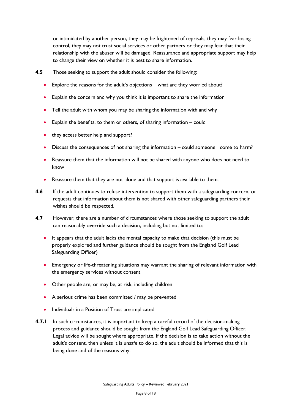or intimidated by another person, they may be frightened of reprisals, they may fear losing control, they may not trust social services or other partners or they may fear that their relationship with the abuser will be damaged. Reassurance and appropriate support may help to change their view on whether it is best to share information.

- **4.5** Those seeking to support the adult should consider the following:
	- Explore the reasons for the adult's objections what are they worried about?
	- Explain the concern and why you think it is important to share the information
	- Tell the adult with whom you may be sharing the information with and why
	- Explain the benefits, to them or others, of sharing information could
	- they access better help and support?
	- Discuss the consequences of not sharing the information could someone come to harm?
	- Reassure them that the information will not be shared with anyone who does not need to know
	- Reassure them that they are not alone and that support is available to them.
- **4.6** If the adult continues to refuse intervention to support them with a safeguarding concern, or requests that information about them is not shared with other safeguarding partners their wishes should be respected.
- **4.7** However, there are a number of circumstances where those seeking to support the adult can reasonably override such a decision, including but not limited to:
	- It appears that the adult lacks the mental capacity to make that decision (this must be properly explored and further guidance should be sought from the England Golf Lead Safeguarding Officer)
	- Emergency or life-threatening situations may warrant the sharing of relevant information with the emergency services without consent
	- Other people are, or may be, at risk, including children
	- A serious crime has been committed / may be prevented
	- Individuals in a Position of Trust are implicated
- **4.7.1** In such circumstances, it is important to keep a careful record of the decision-making process and guidance should be sought from the England Golf Lead Safeguarding Officer. Legal advice will be sought where appropriate. If the decision is to take action without the adult's consent, then unless it is unsafe to do so, the adult should be informed that this is being done and of the reasons why.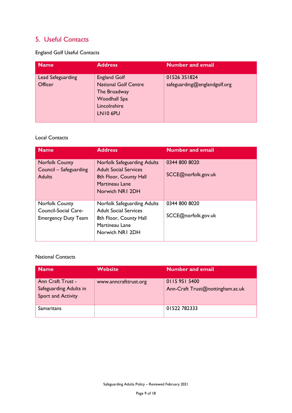# <span id="page-8-0"></span>5. Useful Contacts

England Golf Useful Contacts

| <b>Name</b>                  | <b>Address</b>                                                                                                 | <b>Number and email</b>                      |
|------------------------------|----------------------------------------------------------------------------------------------------------------|----------------------------------------------|
| Lead Safeguarding<br>Officer | <b>England Golf</b><br><b>National Golf Centre</b><br>The Broadway<br>Woodhall Spa<br>Lincolnshire<br>LN10 6PU | 01526 351824<br>safeguarding@englandgolf.org |

## Local Contacts

| <b>Name</b>                                                      | <b>Address</b>                                                                               | <b>Number and email</b>              |
|------------------------------------------------------------------|----------------------------------------------------------------------------------------------|--------------------------------------|
| <b>Norfolk County</b><br>Council - Safeguarding<br><b>Adults</b> | <b>Norfolk Safeguarding Adults</b><br><b>Adult Social Services</b><br>8th Floor, County Hall | 0344 800 8020<br>SCCE@norfolk.gov.uk |
|                                                                  | Martineau Lane<br>Norwich NR1 2DH                                                            |                                      |
| <b>Norfolk County</b>                                            | Norfolk Safeguarding Adults                                                                  | 0344 800 8020                        |
| Council-Social Care-<br><b>Emergency Duty Team</b>               | <b>Adult Social Services</b><br>8th Floor, County Hall<br>Martineau Lane<br>Norwich NR1 2DH  | SCCE@norfolk.gov.uk                  |

#### National Contacts

| <b>Name</b>                                                              | <b>Website</b>        | <b>Number and email</b>                           |
|--------------------------------------------------------------------------|-----------------------|---------------------------------------------------|
| Ann Craft Trust -<br>Safeguarding Adults in<br><b>Sport and Activity</b> | www.anncrafttrust.org | 0115 951 5400<br>Ann-Craft Trust@nottingham.ac.uk |
| <b>Samaritans</b>                                                        |                       | 01522782333                                       |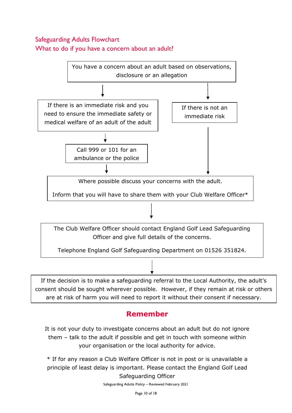# <span id="page-9-0"></span>Safeguarding Adults Flowchart What to do if you have a concern about an adult?



# **Remember**

It is not your duty to investigate concerns about an adult but do not ignore them – talk to the adult if possible and get in touch with someone within your organisation or the local authority for advice.

\* If for any reason a Club Welfare Officer is not in post or is unavailable a principle of least delay is important. Please contact the England Golf Lead Safeguarding Officer

Safeguarding Adults Policy – Reviewed February 2021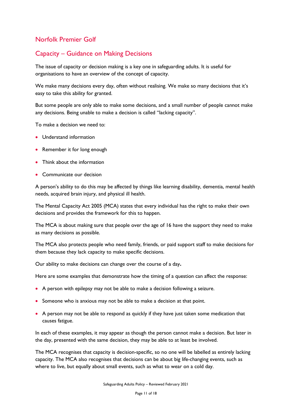# <span id="page-10-0"></span>Capacity – Guidance on Making Decisions

The issue of capacity or decision making is a key one in safeguarding adults. It is useful for organisations to have an overview of the concept of capacity.

We make many decisions every day, often without realising. We make so many decisions that it's easy to take this ability for granted.

But some people are only able to make some decisions, and a small number of people cannot make any decisions. Being unable to make a decision is called "lacking capacity".

To make a decision we need to:

- Understand information
- Remember it for long enough
- Think about the information
- Communicate our decision

A person's ability to do this may be affected by things like learning disability, dementia, mental health needs, acquired brain injury, and physical ill health.

The Mental Capacity Act 2005 (MCA) states that every individual has the right to make their own decisions and provides the framework for this to happen.

The MCA is about making sure that people over the age of 16 have the support they need to make as many decisions as possible.

The MCA also protects people who need family, friends, or paid support staff to make decisions for them because they lack capacity to make specific decisions.

Our ability to make decisions can change over the course of a day**.**

Here are some examples that demonstrate how the timing of a question can affect the response:

- A person with epilepsy may not be able to make a decision following a seizure.
- Someone who is anxious may not be able to make a decision at that point.
- A person may not be able to respond as quickly if they have just taken some medication that causes fatigue.

In each of these examples, it may appear as though the person cannot make a decision. But later in the day, presented with the same decision, they may be able to at least be involved.

The MCA recognises that capacity is decision-specific, so no one will be labelled as entirely lacking capacity. The MCA also recognises that decisions can be about big life-changing events, such as where to live, but equally about small events, such as what to wear on a cold day.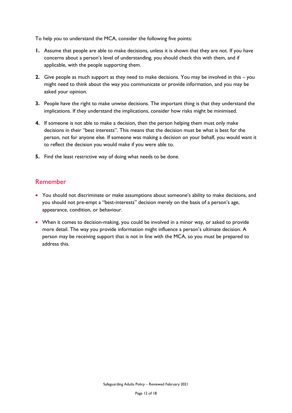To help you to understand the MCA, consider the following five points:

- **1.** Assume that people are able to make decisions, unless it is shown that they are not. If you have concerns about a person's level of understanding, you should check this with them, and if applicable, with the people supporting them.
- **2.** Give people as much support as they need to make decisions. You may be involved in this you might need to think about the way you communicate or provide information, and you may be asked your opinion.
- **3.** People have the right to make unwise decisions. The important thing is that they understand the implications. If they understand the implications, consider how risks might be minimised.
- **4.** If someone is not able to make a decision, then the person helping them must only make decisions in their "best interests". This means that the decision must be what is best for the person, not for anyone else. If someone was making a decision on your behalf, you would want it to reflect the decision you would make if you were able to.
- **5.** Find the least restrictive way of doing what needs to be done.

## Remember

- You should not discriminate or make assumptions about someone's ability to make decisions, and you should not pre-empt a "best-interests" decision merely on the basis of a person's age, appearance, condition, or behaviour.
- When it comes to decision-making, you could be involved in a minor way, or asked to provide more detail. The way you provide information might influence a person's ultimate decision. A person may be receiving support that is not in line with the MCA, so you must be prepared to address this.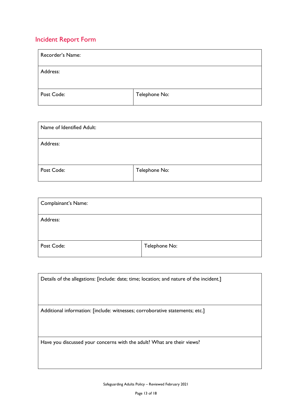# <span id="page-12-0"></span>Incident Report Form

| Recorder's Name: |               |
|------------------|---------------|
| Address:         |               |
| Post Code:       | Telephone No: |

| Name of Identified Adult: |               |
|---------------------------|---------------|
| Address:                  |               |
| Post Code:                | Telephone No: |

| Complainant's Name: |               |
|---------------------|---------------|
| Address:            |               |
| Post Code:          | Telephone No: |

| Details of the allegations: [include: date; time; location; and nature of the incident.] |  |
|------------------------------------------------------------------------------------------|--|
|                                                                                          |  |
| Additional information: [include: witnesses; corroborative statements; etc.]             |  |
|                                                                                          |  |
|                                                                                          |  |
|                                                                                          |  |
| Have you discussed your concerns with the adult? What are their views?                   |  |
|                                                                                          |  |
|                                                                                          |  |

Safeguarding Adults Policy – Reviewed February 2021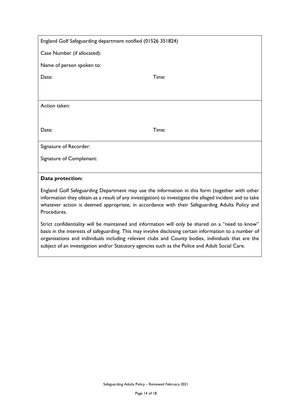| England Golf Safeguarding department notified (01526 351824)                                                                                                                                                          |       |  |
|-----------------------------------------------------------------------------------------------------------------------------------------------------------------------------------------------------------------------|-------|--|
| Case Number (if allocated):                                                                                                                                                                                           |       |  |
| Name of person spoken to:                                                                                                                                                                                             |       |  |
| Date:                                                                                                                                                                                                                 | Time: |  |
|                                                                                                                                                                                                                       |       |  |
| Action taken:                                                                                                                                                                                                         |       |  |
|                                                                                                                                                                                                                       |       |  |
| Date:                                                                                                                                                                                                                 | Time: |  |
| Signature of Recorder:                                                                                                                                                                                                |       |  |
| Signature of Complainant:                                                                                                                                                                                             |       |  |
|                                                                                                                                                                                                                       |       |  |
| Data protection:                                                                                                                                                                                                      |       |  |
| England Golf Safeguarding Department may use the information in this form (together with other<br>لمراجع لمعالجته والمستلحمين الموصول والمستحدد والمتحدث والمتناقص والمستحدث والمستحدث والمنافي والمواعدة والمستحكمات |       |  |

information they obtain as a result of any investigation) to investigate the alleged incident and to take whatever action is deemed appropriate, in accordance with their Safeguarding Adults Policy and Procedures.

Strict confidentiality will be maintained and information will only be shared on a "need to know" basis in the interests of safeguarding. This may involve disclosing certain information to a number of organisations and individuals including relevant clubs and County bodies, individuals that are the subject of an investigation and/or Statutory agencies such as the Police and Adult Social Care.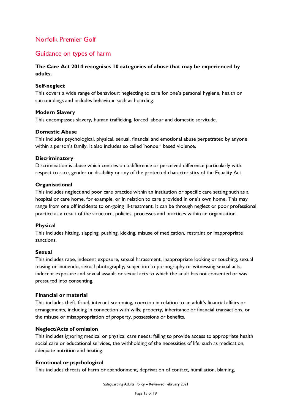### <span id="page-14-0"></span>Guidance on types of harm

#### **The Care Act 2014 recognises 10 categories of abuse that may be experienced by adults.**

#### **Self-neglect**

This covers a wide range of behaviour: neglecting to care for one's personal hygiene, health or surroundings and includes behaviour such as hoarding.

#### **Modern Slavery**

This encompasses slavery, human trafficking, forced labour and domestic servitude.

#### **Domestic Abuse**

This includes psychological, physical, sexual, financial and emotional abuse perpetrated by anyone within a person's family. It also includes so called 'honour' based violence.

#### **Discriminatory**

Discrimination is abuse which centres on a difference or perceived difference particularly with respect to race, gender or disability or any of the protected characteristics of the Equality Act.

#### **Organisational**

This includes neglect and poor care practice within an institution or specific care setting such as a hospital or care home, for example, or in relation to care provided in one's own home. This may range from one off incidents to on-going ill-treatment. It can be through neglect or poor professional practice as a result of the structure, policies, processes and practices within an organisation.

#### **Physical**

This includes hitting, slapping, pushing, kicking, misuse of medication, restraint or inappropriate sanctions.

#### **Sexual**

This includes rape, indecent exposure, sexual harassment, inappropriate looking or touching, sexual teasing or innuendo, sexual photography, subjection to pornography or witnessing sexual acts, indecent exposure and sexual assault or sexual acts to which the adult has not consented or was pressured into consenting.

#### **Financial or material**

This includes theft, fraud, internet scamming, coercion in relation to an adult's financial affairs or arrangements, including in connection with wills, property, inheritance or financial transactions, or the misuse or misappropriation of property, possessions or benefits.

#### **Neglect/Acts of omission**

This includes ignoring medical or physical care needs, failing to provide access to appropriate health social care or educational services, the withholding of the necessities of life, such as medication, adequate nutrition and heating.

#### **Emotional or psychological**

This includes threats of harm or abandonment, deprivation of contact, humiliation, blaming,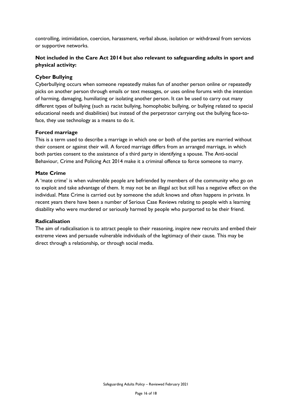controlling, intimidation, coercion, harassment, verbal abuse, isolation or withdrawal from services or supportive networks.

#### **Not included in the Care Act 2014 but also relevant to safeguarding adults in sport and physical activity:**

#### **Cyber Bullying**

Cyberbullying occurs when someone repeatedly makes fun of another person online or repeatedly picks on another person through emails or text messages, or uses online forums with the intention of harming, damaging, humiliating or isolating another person. It can be used to carry out many different types of bullying (such as racist bullying, homophobic bullying, or bullying related to special educational needs and disabilities) but instead of the perpetrator carrying out the bullying face-toface, they use technology as a means to do it.

#### **Forced marriage**

This is a term used to describe a marriage in which one or both of the parties are married without their consent or against their will. A forced marriage differs from an arranged marriage, in which both parties consent to the assistance of a third party in identifying a spouse. The Anti-social Behaviour, Crime and Policing Act 2014 make it a criminal offence to force someone to marry.

#### **Mate Crime**

A 'mate crime' is when vulnerable people are befriended by members of the community who go on to exploit and take advantage of them. It may not be an illegal act but still has a negative effect on the individual. Mate Crime is carried out by someone the adult knows and often happens in private. In recent years there have been a number of Serious Case Reviews relating to people with a learning disability who were murdered or seriously harmed by people who purported to be their friend.

#### **Radicalisation**

The aim of radicalisation is to attract people to their reasoning, inspire new recruits and embed their extreme views and persuade vulnerable individuals of the legitimacy of their cause. This may be direct through a relationship, or through social media.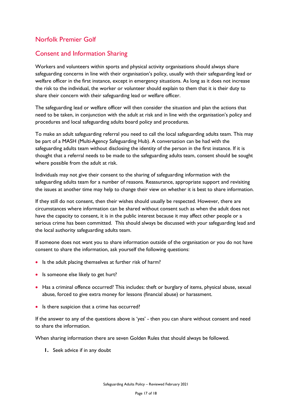# <span id="page-16-0"></span>Consent and Information Sharing

Workers and volunteers within sports and physical activity organisations should always share safeguarding concerns in line with their organisation's policy, usually with their safeguarding lead or welfare officer in the first instance, except in emergency situations. As long as it does not increase the risk to the individual, the worker or volunteer should explain to them that it is their duty to share their concern with their safeguarding lead or welfare officer.

The safeguarding lead or welfare officer will then consider the situation and plan the actions that need to be taken, in conjunction with the adult at risk and in line with the organisation's policy and procedures and local safeguarding adults board policy and procedures.

To make an adult safeguarding referral you need to call the local safeguarding adults team. This may be part of a MASH (Multi*-*Agency Safeguarding Hub). A conversation can be had with the safeguarding adults team without disclosing the identity of the person in the first instance. If it is thought that a referral needs to be made to the safeguarding adults team, consent should be sought where possible from the adult at risk.

Individuals may not give their consent to the sharing of safeguarding information with the safeguarding adults team for a number of reasons. Reassurance, appropriate support and revisiting the issues at another time may help to change their view on whether it is best to share information.

If they still do not consent, then their wishes should usually be respected. However, there are circumstances where information can be shared without consent such as when the adult does not have the capacity to consent, it is in the public interest because it may affect other people or a serious crime has been committed. This should always be discussed with your safeguarding lead and the local authority safeguarding adults team.

If someone does not want you to share information outside of the organisation or you do not have consent to share the information, ask yourself the following questions:

- Is the adult placing themselves at further risk of harm?
- Is someone else likely to get hurt?
- Has a criminal offence occurred? This includes: theft or burglary of items, physical abuse, sexual abuse, forced to give extra money for lessons (financial abuse) or harassment.
- Is there suspicion that a crime has occurred?

If the answer to any of the questions above is 'yes' - then you can share without consent and need to share the information.

When sharing information there are seven Golden Rules that should always be followed.

**1.** Seek advice if in any doubt